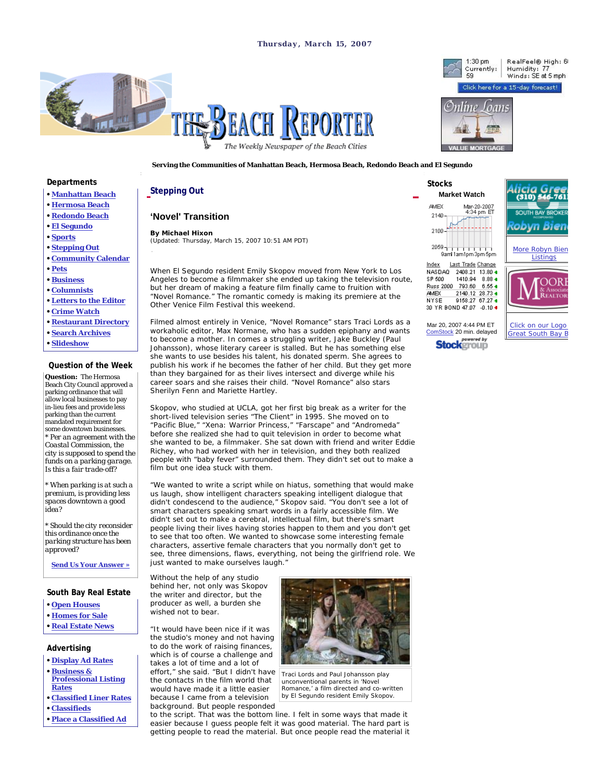



1:30 pm

**Serving the Communities of Manhattan Beach, Hermosa Beach, Redondo Beach and El Segundo** 

### **Departments**

- **Manhattan Beach**
- **Hermosa Beach**
- **Redondo Beach • El Segundo**
- **Sports**
- 
- **Stepping Out • Community Calendar**
- **Pets**
- 
- **Business**
- **Columnists**
- **Letters to the Editor**
- **Crime Watch**
- **Restaurant Directory**
- **Search Archives**
- **Slideshow**

### **Question of the Week**

**Question:** The Hermosa Beach City Council approved a parking ordinance that will allow local businesses to pay in-lieu fees and provide less parking than the current mandated requirement for some downtown businesses. *\* Per an agreement with the Coastal Commission, the city is supposed to spend the funds on a parking garage. Is this a fair trade-off?*

*\* When parking is at such a premium, is providing less spaces downtown a good idea?*

*\* Should the city reconsider this ordinance once the parking structure has been approved?*

**Send Us Your Answer »**

### **South Bay Real Estate**

- **Open Houses**
- **Homes for Sale**
- **Real Estate News**

# **Advertising**

- **Display Ad Rates**
- **Business & Professional Listing Rates**
- **Classified Liner Rates • Classifieds**
- 
- **Place a Classified Ad**

# **Stepping Out**

# **'Novel' Transition**

**By Michael Hixon** (Updated: Thursday, March 15, 2007 10:51 AM PDT)

When El Segundo resident Emily Skopov moved from New York to Los Angeles to become a filmmaker she ended up taking the television route, but her dream of making a feature film finally came to fruition with "Novel Romance." The romantic comedy is making its premiere at the Other Venice Film Festival this weekend.

Filmed almost entirely in Venice, "Novel Romance" stars Traci Lords as a workaholic editor, Max Normane, who has a sudden epiphany and wants to become a mother. In comes a struggling writer, Jake Buckley (Paul Johansson), whose literary career is stalled. But he has something else she wants to use besides his talent, his donated sperm. She agrees to publish his work if he becomes the father of her child. But they get more than they bargained for as their lives intersect and diverge while his career soars and she raises their child. "Novel Romance" also stars Sherilyn Fenn and Mariette Hartley.

Skopov, who studied at UCLA, got her first big break as a writer for the short-lived television series "The Client" in 1995. She moved on to "Pacific Blue," "Xena: Warrior Princess," "Farscape" and "Andromeda" before she realized she had to quit television in order to become what she wanted to be, a filmmaker. She sat down with friend and writer Eddie Richey, who had worked with her in television, and they both realized people with "baby fever" surrounded them. They didn't set out to make a film but one idea stuck with them.

"We wanted to write a script while on hiatus, something that would make us laugh, show intelligent characters speaking intelligent dialogue that didn't condescend to the audience," Skopov said. "You don't see a lot of smart characters speaking smart words in a fairly accessible film. We didn't set out to make a cerebral, intellectual film, but there's smart people living their lives having stories happen to them and you don't get to see that too often. We wanted to showcase some interesting female characters, assertive female characters that you normally don't get to see, three dimensions, flaws, everything, not being the girlfriend role. We just wanted to make ourselves laugh."

to the script. That was the bottom line. I felt in some ways that made it easier because I guess people felt it was good material. The hard part is getting people to read the material. But once people read the material it

Without the help of any studio behind her, not only was Skopov the writer and director, but the producer as well, a burden she wished not to bear.

"It would have been nice if it was the studio's money and not having to do the work of raising finances, which is of course a challenge and takes a lot of time and a lot of effort," she said. "But I didn't have the contacts in the film world that would have made it a little easier because I came from a television background. But people responded



Traci Lords and Paul Johansson play unconventional parents in 'Novel Romance,' a film directed and co-written by El Segundo resident Emily Skopov.

 **Stocks Market Watch AMEX** Mar-20-2007<br>4:34 pm ET 2140 2100- $2059 - 1.1 + 1.1 + 1.1$ 9aml 1am1pm3pm5pm Last Trade Change Index NASDAQ 2408.21 13.80 4 SP 500 1410.94 8.88 4 Russ 2000 793.60 6.55 4 **AMEX** 2140.12 28.73 4



RealFeel® High: 6!

Mar 20, 2007 4:44 PM ET ComStock 20 min. delayed powered by **Stockgroup** 

9158.27 67.27 4 30 YR BOND 47.07 -0.10 +

NYSE

Click on our Logo Great South Bay B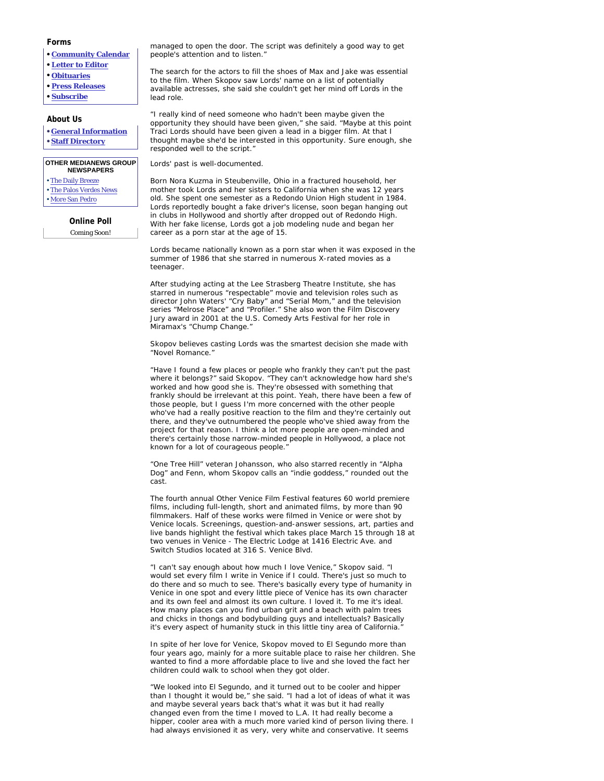# **Forms**

- **Community Calendar**
- **Letter to Editor**
- **Obituaries**
- **Press Releases**
- **Subscribe**

### **About Us**

- **General Information**
- **Staff Directory**

#### **OTHER MEDIANEWS GROUP NEWSPAPERS**

- The Daily Breeze
- The Palos Verdes News
- More San Pedro

**Online Poll** Coming Soon!

managed to open the door. The script was definitely a good way to get people's attention and to listen."

The search for the actors to fill the shoes of Max and Jake was essential to the film. When Skopov saw Lords' name on a list of potentially available actresses, she said she couldn't get her mind off Lords in the lead role.

"I really kind of need someone who hadn't been maybe given the opportunity they should have been given," she said. "Maybe at this point Traci Lords should have been given a lead in a bigger film. At that I thought maybe she'd be interested in this opportunity. Sure enough, she responded well to the script."

Lords' past is well-documented.

Born Nora Kuzma in Steubenville, Ohio in a fractured household, her mother took Lords and her sisters to California when she was 12 years old. She spent one semester as a Redondo Union High student in 1984. Lords reportedly bought a fake driver's license, soon began hanging out in clubs in Hollywood and shortly after dropped out of Redondo High. With her fake license, Lords got a job modeling nude and began her career as a porn star at the age of 15.

Lords became nationally known as a porn star when it was exposed in the summer of 1986 that she starred in numerous X-rated movies as a teenager.

After studying acting at the Lee Strasberg Theatre Institute, she has starred in numerous "respectable" movie and television roles such as director John Waters' "Cry Baby" and "Serial Mom," and the television series "Melrose Place" and "Profiler." She also won the Film Discovery Jury award in 2001 at the U.S. Comedy Arts Festival for her role in Miramax's "Chump Change."

Skopov believes casting Lords was the smartest decision she made with "Novel Romance."

"Have I found a few places or people who frankly they can't put the past where it belongs?" said Skopov. "They can't acknowledge how hard she's worked and how good she is. They're obsessed with something that frankly should be irrelevant at this point. Yeah, there have been a few of those people, but I guess I'm more concerned with the other people who've had a really positive reaction to the film and they're certainly out there, and they've outnumbered the people who've shied away from the project for that reason. I think a lot more people are open-minded and there's certainly those narrow-minded people in Hollywood, a place not known for a lot of courageous people."

"One Tree Hill" veteran Johansson, who also starred recently in "Alpha Dog" and Fenn, whom Skopov calls an "indie goddess," rounded out the cast.

The fourth annual Other Venice Film Festival features 60 world premiere films, including full-length, short and animated films, by more than 90 filmmakers. Half of these works were filmed in Venice or were shot by Venice locals. Screenings, question-and-answer sessions, art, parties and live bands highlight the festival which takes place March 15 through 18 at two venues in Venice - The Electric Lodge at 1416 Electric Ave. and Switch Studios located at 316 S. Venice Blvd.

"I can't say enough about how much I love Venice," Skopov said. "I would set every film I write in Venice if I could. There's just so much to do there and so much to see. There's basically every type of humanity in Venice in one spot and every little piece of Venice has its own character and its own feel and almost its own culture. I loved it. To me it's ideal. How many places can you find urban grit and a beach with palm trees and chicks in thongs and bodybuilding guys and intellectuals? Basically it's every aspect of humanity stuck in this little tiny area of California.

In spite of her love for Venice, Skopov moved to El Segundo more than four years ago, mainly for a more suitable place to raise her children. She wanted to find a more affordable place to live and she loved the fact her children could walk to school when they got older.

"We looked into El Segundo, and it turned out to be cooler and hipper than I thought it would be," she said. "I had a lot of ideas of what it was and maybe several years back that's what it was but it had really changed even from the time I moved to L.A. It had really become a hipper, cooler area with a much more varied kind of person living there. I had always envisioned it as very, very white and conservative. It seems